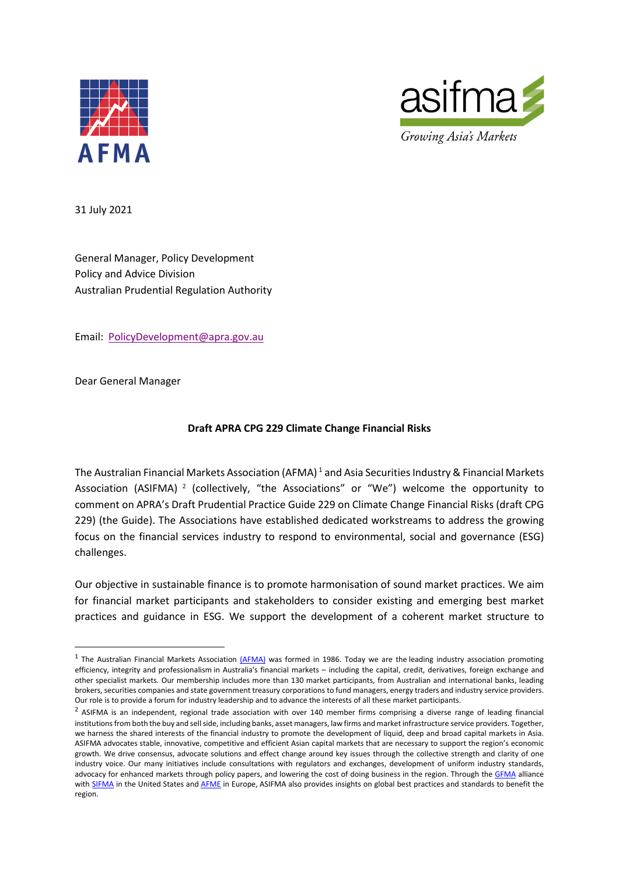



31 July 2021

General Manager, Policy Development Policy and Advice Division Australian Prudential Regulation Authority

Email: PolicyDevelopment@apra.gov.au

Dear General Manager

#### **Draft APRA CPG 229 Climate Change Financial Risks**

The Australian Financial Markets Association (AFMA)<sup>1</sup> and Asia Securities Industry & Financial Markets Association (ASIFMA)<sup>2</sup> (collectively, "the Associations" or "We") welcome the opportunity to comment on APRA's Draft Prudential Practice Guide 229 on Climate Change Financial Risks (draft CPG 229) (the Guide). The Associations have established dedicated workstreams to address the growing focus on the financial services industry to respond to environmental, social and governance (ESG) challenges.

Our objective in sustainable finance is to promote harmonisation of sound market practices. We aim for financial market participants and stakeholders to consider existing and emerging best market practices and guidance in ESG. We support the development of a coherent market structure to

<sup>&</sup>lt;sup>1</sup> The Australian Financial Markets Association ( $\Delta$ FMA) was formed in 1986. Today we are the leading industry association promoting efficiency, integrity and professionalism in Australia's financial markets – including the capital, credit, derivatives, foreign exchange and other specialist markets. Our membership includes more than 130 market participants, from Australian and international banks, leading brokers, securities companies and state government treasury corporations to fund managers, energy traders and industry service providers. Our role is to provide a forum for industry leadership and to advance the interests of all these market participants.

 $2$  ASIFMA is an independent, regional trade association with over 140 member firms comprising a diverse range of leading financial institutions from both the buy and sell side, including banks, asset managers, law firms and market infrastructure service providers. Together, we harness the shared interests of the financial industry to promote the development of liquid, deep and broad capital markets in Asia. ASIFMA advocates stable, innovative, competitive and efficient Asian capital markets that are necessary to support the region's economic growth. We drive consensus, advocate solutions and effect change around key issues through the collective strength and clarity of one industry voice. Our many initiatives include consultations with regulators and exchanges, development of uniform industry standards, advocacy for enhanced markets through policy papers, and lowering the cost of doing business in the region. Through the GFMA alliance with SIFMA in the United States and AFME in Europe, ASIFMA also provides insights on global best practices and standards to benefit the region.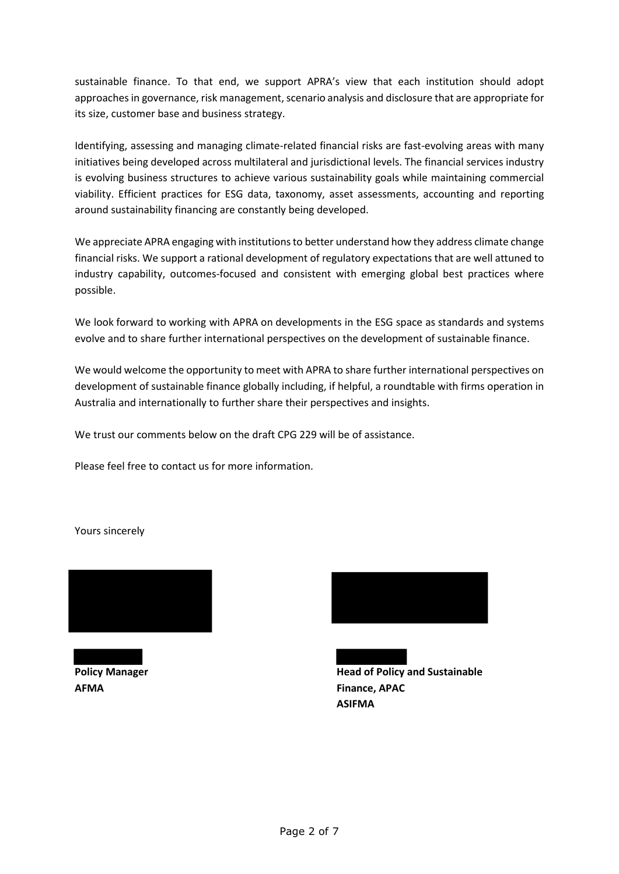sustainable finance. To that end, we support APRA's view that each institution should adopt approaches in governance, risk management, scenario analysis and disclosure that are appropriate for its size, customer base and business strategy.

Identifying, assessing and managing climate-related financial risks are fast-evolving areas with many initiatives being developed across multilateral and jurisdictional levels. The financial services industry is evolving business structures to achieve various sustainability goals while maintaining commercial viability. Efficient practices for ESG data, taxonomy, asset assessments, accounting and reporting around sustainability financing are constantly being developed.

We appreciate APRA engaging with institutions to better understand how they address climate change financial risks. We support a rational development of regulatory expectations that are well attuned to industry capability, outcomes-focused and consistent with emerging global best practices where possible.

We look forward to working with APRA on developments in the ESG space as standards and systems evolve and to share further international perspectives on the development of sustainable finance.

We would welcome the opportunity to meet with APRA to share further international perspectives on development of sustainable finance globally including, if helpful, a roundtable with firms operation in Australia and internationally to further share their perspectives and insights.

We trust our comments below on the draft CPG 229 will be of assistance.

Please feel free to contact us for more information.

Yours sincerely



**AFMA Finance, APAC**



**Policy Manager Community Community Community Community Policy And Sustainable ASIFMA**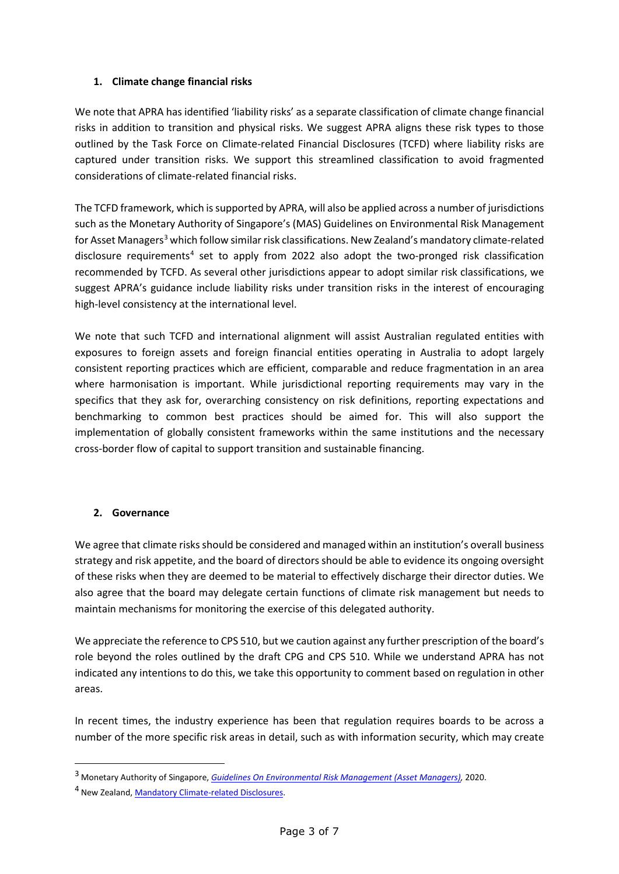### **1. Climate change financial risks**

We note that APRA has identified 'liability risks' as a separate classification of climate change financial risks in addition to transition and physical risks. We suggest APRA aligns these risk types to those outlined by the Task Force on Climate-related Financial Disclosures (TCFD) where liability risks are captured under transition risks. We support this streamlined classification to avoid fragmented considerations of climate-related financial risks.

The TCFD framework, which is supported by APRA, will also be applied across a number of jurisdictions such as the Monetary Authority of Singapore's (MAS) Guidelines on Environmental Risk Management for Asset Managers<sup>3</sup> which follow similar risk classifications. New Zealand's mandatory climate-related disclosure requirements<sup>4</sup> set to apply from 2022 also adopt the two-pronged risk classification recommended by TCFD. As several other jurisdictions appear to adopt similar risk classifications, we suggest APRA's guidance include liability risks under transition risks in the interest of encouraging high-level consistency at the international level.

We note that such TCFD and international alignment will assist Australian regulated entities with exposures to foreign assets and foreign financial entities operating in Australia to adopt largely consistent reporting practices which are efficient, comparable and reduce fragmentation in an area where harmonisation is important. While jurisdictional reporting requirements may vary in the specifics that they ask for, overarching consistency on risk definitions, reporting expectations and benchmarking to common best practices should be aimed for. This will also support the implementation of globally consistent frameworks within the same institutions and the necessary cross-border flow of capital to support transition and sustainable financing.

### **2. Governance**

We agree that climate risks should be considered and managed within an institution's overall business strategy and risk appetite, and the board of directors should be able to evidence its ongoing oversight of these risks when they are deemed to be material to effectively discharge their director duties. We also agree that the board may delegate certain functions of climate risk management but needs to maintain mechanisms for monitoring the exercise of this delegated authority.

We appreciate the reference to CPS 510, but we caution against any further prescription of the board's role beyond the roles outlined by the draft CPG and CPS 510. While we understand APRA has not indicated any intentions to do this, we take this opportunity to comment based on regulation in other areas.

In recent times, the industry experience has been that regulation requires boards to be across a number of the more specific risk areas in detail, such as with information security, which may create

<sup>3</sup> Monetary Authority of Singapore, *Guidelines On Environmental Risk Management (Asset Managers),* 2020.

<sup>4</sup> New Zealand, Mandatory Climate-related Disclosures.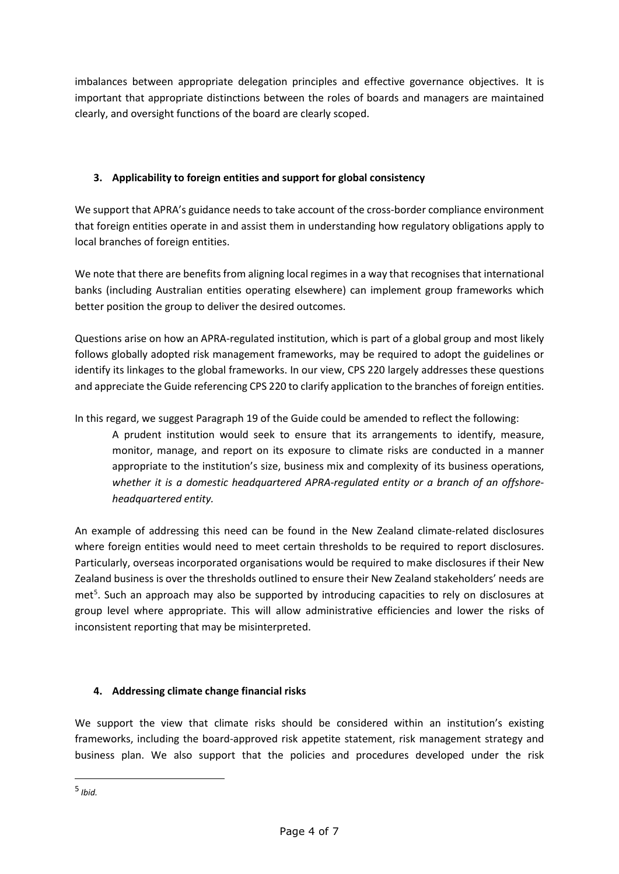imbalances between appropriate delegation principles and effective governance objectives. It is important that appropriate distinctions between the roles of boards and managers are maintained clearly, and oversight functions of the board are clearly scoped.

# **3. Applicability to foreign entities and support for global consistency**

We support that APRA's guidance needs to take account of the cross-border compliance environment that foreign entities operate in and assist them in understanding how regulatory obligations apply to local branches of foreign entities.

We note that there are benefits from aligning local regimes in a way that recognises that international banks (including Australian entities operating elsewhere) can implement group frameworks which better position the group to deliver the desired outcomes.

Questions arise on how an APRA-regulated institution, which is part of a global group and most likely follows globally adopted risk management frameworks, may be required to adopt the guidelines or identify its linkages to the global frameworks. In our view, CPS 220 largely addresses these questions and appreciate the Guide referencing CPS 220 to clarify application to the branches of foreign entities.

In this regard, we suggest Paragraph 19 of the Guide could be amended to reflect the following:

A prudent institution would seek to ensure that its arrangements to identify, measure, monitor, manage, and report on its exposure to climate risks are conducted in a manner appropriate to the institution's size, business mix and complexity of its business operations, *whether it is a domestic headquartered APRA-regulated entity or a branch of an offshoreheadquartered entity.*

An example of addressing this need can be found in the New Zealand climate-related disclosures where foreign entities would need to meet certain thresholds to be required to report disclosures. Particularly, overseas incorporated organisations would be required to make disclosures if their New Zealand business is over the thresholds outlined to ensure their New Zealand stakeholders' needs are met<sup>5</sup>. Such an approach may also be supported by introducing capacities to rely on disclosures at group level where appropriate. This will allow administrative efficiencies and lower the risks of inconsistent reporting that may be misinterpreted.

# **4. Addressing climate change financial risks**

We support the view that climate risks should be considered within an institution's existing frameworks, including the board-approved risk appetite statement, risk management strategy and business plan. We also support that the policies and procedures developed under the risk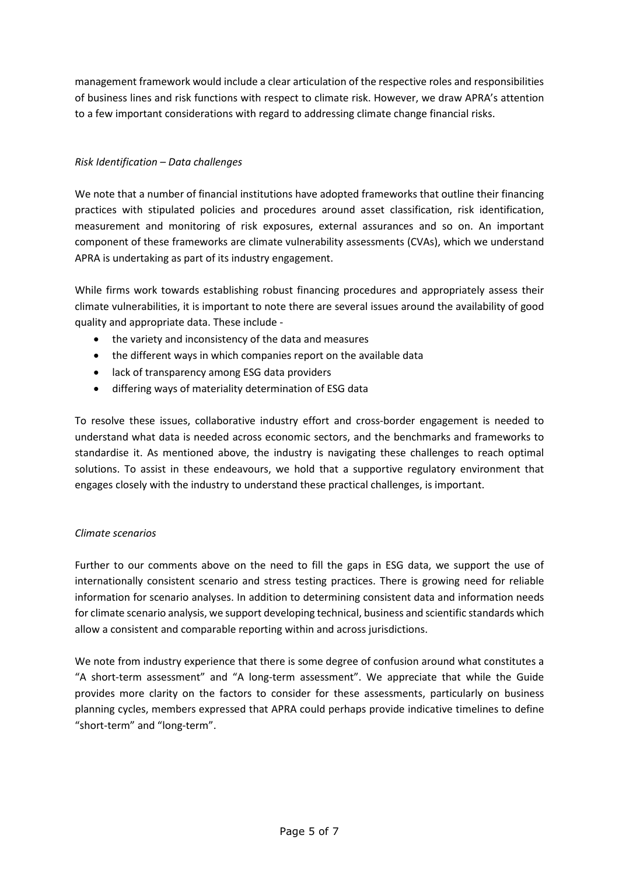management framework would include a clear articulation of the respective roles and responsibilities of business lines and risk functions with respect to climate risk. However, we draw APRA's attention to a few important considerations with regard to addressing climate change financial risks.

## *Risk Identification – Data challenges*

We note that a number of financial institutions have adopted frameworks that outline their financing practices with stipulated policies and procedures around asset classification, risk identification, measurement and monitoring of risk exposures, external assurances and so on. An important component of these frameworks are climate vulnerability assessments (CVAs), which we understand APRA is undertaking as part of its industry engagement.

While firms work towards establishing robust financing procedures and appropriately assess their climate vulnerabilities, it is important to note there are several issues around the availability of good quality and appropriate data. These include -

- the variety and inconsistency of the data and measures
- the different ways in which companies report on the available data
- lack of transparency among ESG data providers
- differing ways of materiality determination of ESG data

To resolve these issues, collaborative industry effort and cross-border engagement is needed to understand what data is needed across economic sectors, and the benchmarks and frameworks to standardise it. As mentioned above, the industry is navigating these challenges to reach optimal solutions. To assist in these endeavours, we hold that a supportive regulatory environment that engages closely with the industry to understand these practical challenges, is important.

### *Climate scenarios*

Further to our comments above on the need to fill the gaps in ESG data, we support the use of internationally consistent scenario and stress testing practices. There is growing need for reliable information for scenario analyses. In addition to determining consistent data and information needs for climate scenario analysis, we support developing technical, business and scientific standards which allow a consistent and comparable reporting within and across jurisdictions.

We note from industry experience that there is some degree of confusion around what constitutes a "A short-term assessment" and "A long-term assessment". We appreciate that while the Guide provides more clarity on the factors to consider for these assessments, particularly on business planning cycles, members expressed that APRA could perhaps provide indicative timelines to define "short-term" and "long-term".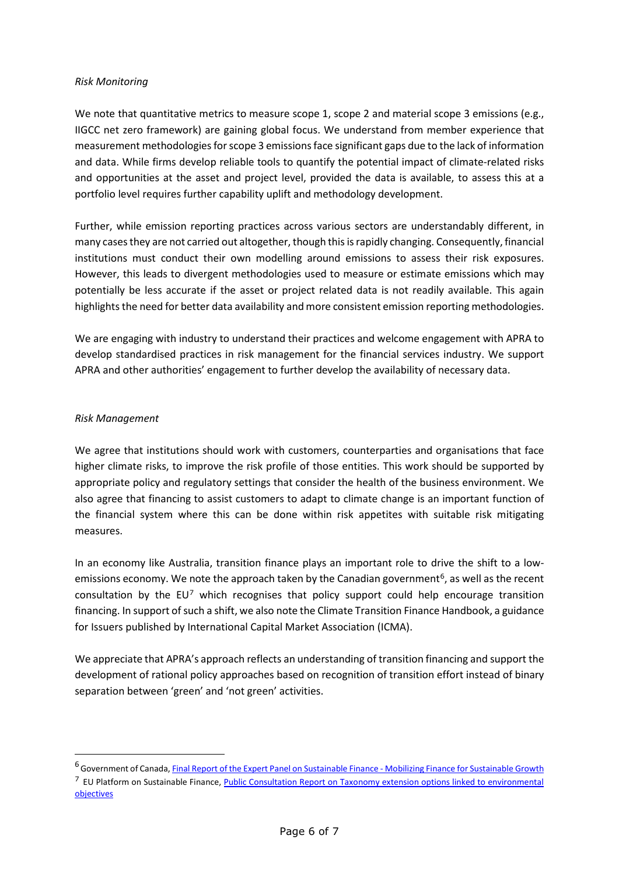#### *Risk Monitoring*

We note that quantitative metrics to measure scope 1, scope 2 and material scope 3 emissions (e.g., IIGCC net zero framework) are gaining global focus. We understand from member experience that measurement methodologies for scope 3 emissions face significant gaps due to the lack of information and data. While firms develop reliable tools to quantify the potential impact of climate-related risks and opportunities at the asset and project level, provided the data is available, to assess this at a portfolio level requires further capability uplift and methodology development.

Further, while emission reporting practices across various sectors are understandably different, in many cases they are not carried out altogether, though this is rapidly changing. Consequently, financial institutions must conduct their own modelling around emissions to assess their risk exposures. However, this leads to divergent methodologies used to measure or estimate emissions which may potentially be less accurate if the asset or project related data is not readily available. This again highlights the need for better data availability and more consistent emission reporting methodologies.

We are engaging with industry to understand their practices and welcome engagement with APRA to develop standardised practices in risk management for the financial services industry. We support APRA and other authorities' engagement to further develop the availability of necessary data.

#### *Risk Management*

We agree that institutions should work with customers, counterparties and organisations that face higher climate risks, to improve the risk profile of those entities. This work should be supported by appropriate policy and regulatory settings that consider the health of the business environment. We also agree that financing to assist customers to adapt to climate change is an important function of the financial system where this can be done within risk appetites with suitable risk mitigating measures.

In an economy like Australia, transition finance plays an important role to drive the shift to a lowemissions economy. We note the approach taken by the Canadian government<sup>6</sup>, as well as the recent consultation by the  $EU^7$  which recognises that policy support could help encourage transition financing. In support of such a shift, we also note the Climate Transition Finance Handbook, a guidance for Issuers published by International Capital Market Association (ICMA).

We appreciate that APRA's approach reflects an understanding of transition financing and support the development of rational policy approaches based on recognition of transition effort instead of binary separation between 'green' and 'not green' activities.

<sup>6</sup> Government of Canada, Final Report of the Expert Panel on Sustainable Finance - Mobilizing Finance for Sustainable Growth <sup>7</sup> EU Platform on Sustainable Finance, *Public Consultation Report on Taxonomy extension options linked to environmental* objectives